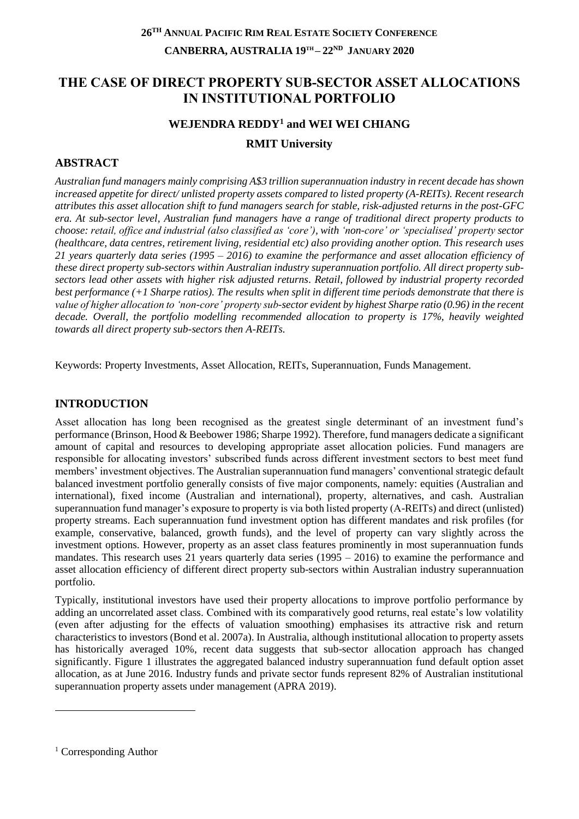# **THE CASE OF DIRECT PROPERTY SUB-SECTOR ASSET ALLOCATIONS IN INSTITUTIONAL PORTFOLIO**

# **WEJENDRA REDDY<sup>1</sup> and WEI WEI CHIANG RMIT University**

## **ABSTRACT**

*Australian fund managers mainly comprising A\$3 trillion superannuation industry in recent decade has shown increased appetite for direct/ unlisted property assets compared to listed property (A-REITs). Recent research attributes this asset allocation shift to fund managers search for stable, risk-adjusted returns in the post-GFC era. At sub-sector level, Australian fund managers have a range of traditional direct property products to choose: retail, office and industrial (also classified as 'core'), with 'non-core' or 'specialised' property sector (healthcare, data centres, retirement living, residential etc) also providing another option. This research uses 21 years quarterly data series (1995 – 2016) to examine the performance and asset allocation efficiency of these direct property sub-sectors within Australian industry superannuation portfolio. All direct property subsectors lead other assets with higher risk adjusted returns. Retail, followed by industrial property recorded best performance (+1 Sharpe ratios). The results when split in different time periods demonstrate that there is value of higher allocation to 'non-core' property sub-sector evident by highest Sharpe ratio (0.96) in the recent decade. Overall, the portfolio modelling recommended allocation to property is 17%, heavily weighted towards all direct property sub-sectors then A-REITs.* 

Keywords: Property Investments, Asset Allocation, REITs, Superannuation, Funds Management.

### **INTRODUCTION**

Asset allocation has long been recognised as the greatest single determinant of an investment fund's performance (Brinson, Hood & Beebower 1986; Sharpe 1992). Therefore, fund managers dedicate a significant amount of capital and resources to developing appropriate asset allocation policies. Fund managers are responsible for allocating investors' subscribed funds across different investment sectors to best meet fund members' investment objectives. The Australian superannuation fund managers' conventional strategic default balanced investment portfolio generally consists of five major components, namely: equities (Australian and international), fixed income (Australian and international), property, alternatives, and cash. Australian superannuation fund manager's exposure to property is via both listed property (A-REITs) and direct (unlisted) property streams. Each superannuation fund investment option has different mandates and risk profiles (for example, conservative, balanced, growth funds), and the level of property can vary slightly across the investment options. However, property as an asset class features prominently in most superannuation funds mandates. This research uses 21 years quarterly data series (1995 – 2016) to examine the performance and asset allocation efficiency of different direct property sub-sectors within Australian industry superannuation portfolio.

Typically, institutional investors have used their property allocations to improve portfolio performance by adding an uncorrelated asset class. Combined with its comparatively good returns, real estate's low volatility (even after adjusting for the effects of valuation smoothing) emphasises its attractive risk and return characteristics to investors (Bond et al. 2007a). In Australia, although institutional allocation to property assets has historically averaged 10%, recent data suggests that sub-sector allocation approach has changed significantly. Figure 1 illustrates the aggregated balanced industry superannuation fund default option asset allocation, as at June 2016. Industry funds and private sector funds represent 82% of Australian institutional superannuation property assets under management (APRA 2019).

-

<sup>1</sup> Corresponding Author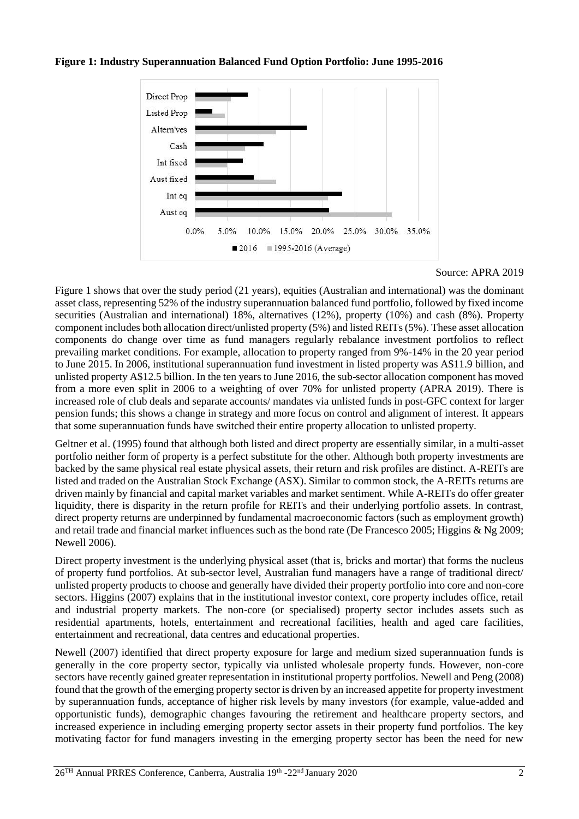### **Figure 1: Industry Superannuation Balanced Fund Option Portfolio: June 1995-2016**



Source: APRA 2019

Figure 1 shows that over the study period (21 years), equities (Australian and international) was the dominant asset class, representing 52% of the industry superannuation balanced fund portfolio, followed by fixed income securities (Australian and international) 18%, alternatives (12%), property (10%) and cash (8%). Property component includes both allocation direct/unlisted property (5%) and listed REITs (5%). These asset allocation components do change over time as fund managers regularly rebalance investment portfolios to reflect prevailing market conditions. For example, allocation to property ranged from 9%-14% in the 20 year period to June 2015. In 2006, institutional superannuation fund investment in listed property was A\$11.9 billion, and unlisted property A\$12.5 billion. In the ten years to June 2016, the sub-sector allocation component has moved from a more even split in 2006 to a weighting of over 70% for unlisted property (APRA 2019). There is increased role of club deals and separate accounts/ mandates via unlisted funds in post-GFC context for larger pension funds; this shows a change in strategy and more focus on control and alignment of interest. It appears that some superannuation funds have switched their entire property allocation to unlisted property.

Geltner et al. (1995) found that although both listed and direct property are essentially similar, in a multi-asset portfolio neither form of property is a perfect substitute for the other. Although both property investments are backed by the same physical real estate physical assets, their return and risk profiles are distinct. A-REITs are listed and traded on the Australian Stock Exchange (ASX). Similar to common stock, the A-REITs returns are driven mainly by financial and capital market variables and market sentiment. While A-REITs do offer greater liquidity, there is disparity in the return profile for REITs and their underlying portfolio assets. In contrast, direct property returns are underpinned by fundamental macroeconomic factors (such as employment growth) and retail trade and financial market influences such as the bond rate (De Francesco 2005; Higgins & Ng 2009; Newell 2006).

Direct property investment is the underlying physical asset (that is, bricks and mortar) that forms the nucleus of property fund portfolios. At sub-sector level, Australian fund managers have a range of traditional direct/ unlisted property products to choose and generally have divided their property portfolio into core and non-core sectors. Higgins (2007) explains that in the institutional investor context, core property includes office, retail and industrial property markets. The non-core (or specialised) property sector includes assets such as residential apartments, hotels, entertainment and recreational facilities, health and aged care facilities, entertainment and recreational, data centres and educational properties.

Newell (2007) identified that direct property exposure for large and medium sized superannuation funds is generally in the core property sector, typically via unlisted wholesale property funds. However, non-core sectors have recently gained greater representation in institutional property portfolios. Newell and Peng (2008) found that the growth of the emerging property sector is driven by an increased appetite for property investment by superannuation funds, acceptance of higher risk levels by many investors (for example, value-added and opportunistic funds), demographic changes favouring the retirement and healthcare property sectors, and increased experience in including emerging property sector assets in their property fund portfolios. The key motivating factor for fund managers investing in the emerging property sector has been the need for new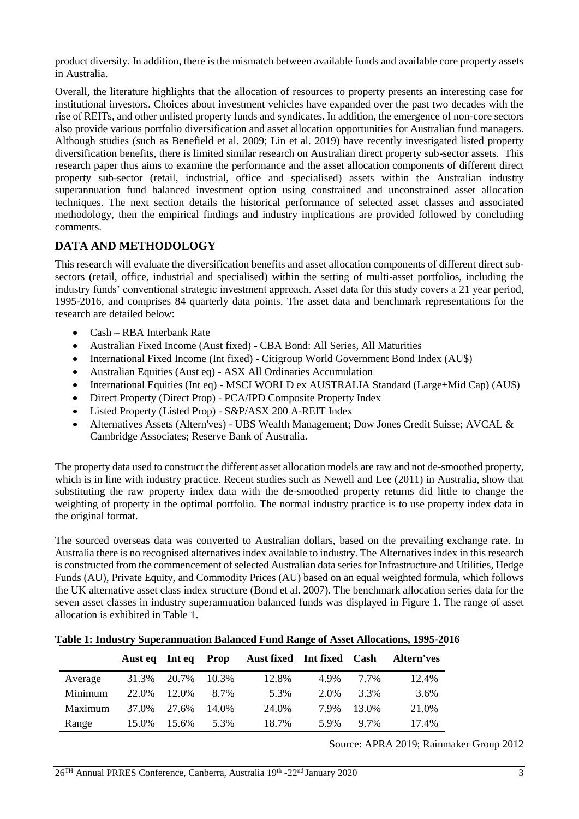product diversity. In addition, there is the mismatch between available funds and available core property assets in Australia.

Overall, the literature highlights that the allocation of resources to property presents an interesting case for institutional investors. Choices about investment vehicles have expanded over the past two decades with the rise of REITs, and other unlisted property funds and syndicates. In addition, the emergence of non-core sectors also provide various portfolio diversification and asset allocation opportunities for Australian fund managers. Although studies (such as Benefield et al. 2009; Lin et al. 2019) have recently investigated listed property diversification benefits, there is limited similar research on Australian direct property sub-sector assets. This research paper thus aims to examine the performance and the asset allocation components of different direct property sub-sector (retail, industrial, office and specialised) assets within the Australian industry superannuation fund balanced investment option using constrained and unconstrained asset allocation techniques. The next section details the historical performance of selected asset classes and associated methodology, then the empirical findings and industry implications are provided followed by concluding comments.

## **DATA AND METHODOLOGY**

This research will evaluate the diversification benefits and asset allocation components of different direct subsectors (retail, office, industrial and specialised) within the setting of multi-asset portfolios, including the industry funds' conventional strategic investment approach. Asset data for this study covers a 21 year period, 1995-2016, and comprises 84 quarterly data points. The asset data and benchmark representations for the research are detailed below:

- Cash RBA Interbank Rate
- Australian Fixed Income (Aust fixed) CBA Bond: All Series, All Maturities
- International Fixed Income (Int fixed) Citigroup World Government Bond Index (AU\$)
- Australian Equities (Aust eq) ASX All Ordinaries Accumulation
- International Equities (Int eq) MSCI WORLD ex AUSTRALIA Standard (Large+Mid Cap) (AU\$)
- Direct Property (Direct Prop) PCA/IPD Composite Property Index
- Listed Property (Listed Prop) S&P/ASX 200 A-REIT Index
- Alternatives Assets (Altern'ves) UBS Wealth Management; Dow Jones Credit Suisse; AVCAL & Cambridge Associates; Reserve Bank of Australia.

The property data used to construct the different asset allocation models are raw and not de-smoothed property, which is in line with industry practice. Recent studies such as Newell and Lee (2011) in Australia, show that substituting the raw property index data with the de-smoothed property returns did little to change the weighting of property in the optimal portfolio. The normal industry practice is to use property index data in the original format.

The sourced overseas data was converted to Australian dollars, based on the prevailing exchange rate. In Australia there is no recognised alternatives index available to industry. The Alternatives index in this research is constructed from the commencement of selected Australian data series for Infrastructure and Utilities, Hedge Funds (AU), Private Equity, and Commodity Prices (AU) based on an equal weighted formula, which follows the UK alternative asset class index structure (Bond et al. 2007). The benchmark allocation series data for the seven asset classes in industry superannuation balanced funds was displayed in Figure 1. The range of asset allocation is exhibited in Table 1.

#### **Table 1: Industry Superannuation Balanced Fund Range of Asset Allocations, 1995-2016**

|         | Aust eq | Int eq | Prop  | Aust fixed Int fixed Cash |      |        | <b>Altern'ves</b> |
|---------|---------|--------|-------|---------------------------|------|--------|-------------------|
| Average | 31.3%   | 20.7%  | 10.3% | 12.8%                     | 4.9% | 7.7%   | 12.4%             |
| Minimum | 22.0%   | 12.0%  | 8.7%  | 5.3%                      | 2.0% | 3.3%   | 3.6%              |
| Maximum | 37.0%   | 27.6%  | 14.0% | 24.0%                     | 7.9% | 13.0%  | 21.0%             |
| Range   | 15.0%   | 15.6%  | 5.3%  | 18.7%                     | 5.9% | $97\%$ | 17.4%             |

Source: APRA 2019; Rainmaker Group 2012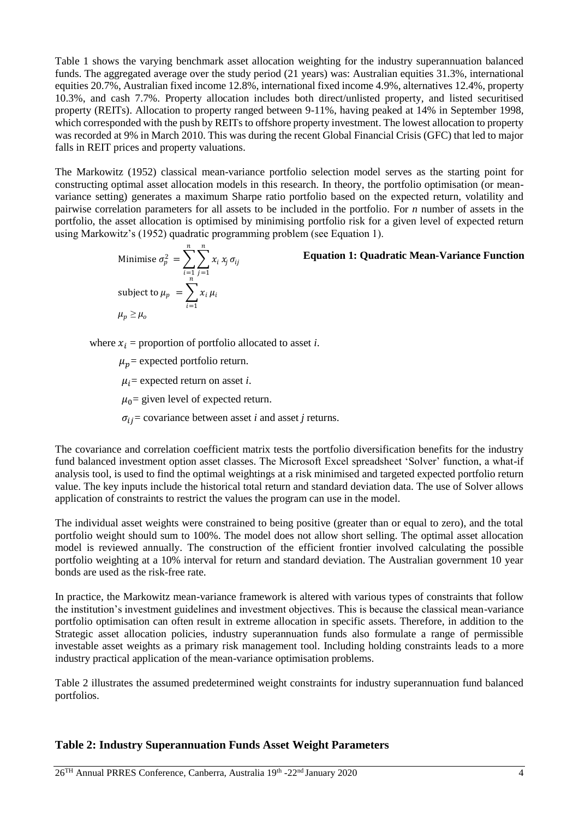Table 1 shows the varying benchmark asset allocation weighting for the industry superannuation balanced funds. The aggregated average over the study period (21 years) was: Australian equities 31.3%, international equities 20.7%, Australian fixed income 12.8%, international fixed income 4.9%, alternatives 12.4%, property 10.3%, and cash 7.7%. Property allocation includes both direct/unlisted property, and listed securitised property (REITs). Allocation to property ranged between 9-11%, having peaked at 14% in September 1998, which corresponded with the push by REITs to offshore property investment. The lowest allocation to property was recorded at 9% in March 2010. This was during the recent Global Financial Crisis (GFC) that led to major falls in REIT prices and property valuations.

The Markowitz (1952) classical mean-variance portfolio selection model serves as the starting point for constructing optimal asset allocation models in this research. In theory, the portfolio optimisation (or meanvariance setting) generates a maximum Sharpe ratio portfolio based on the expected return, volatility and pairwise correlation parameters for all assets to be included in the portfolio. For *n* number of assets in the portfolio, the asset allocation is optimised by minimising portfolio risk for a given level of expected return using Markowitz's (1952) quadratic programming problem (see Equation 1).

Minimise 
$$
\sigma_p^2 = \sum_{\substack{i=1 \ i \neq j}}^n \sum_{j=1}^n x_i x_j \sigma_{ij}
$$
 **Equation 1: Quadratic Mean-Variance Function**  
\nsubject to  $\mu_p = \sum_{i=1}^n x_i \mu_i$   
\n $\mu_p \ge \mu_o$ 

where  $x_i$  = proportion of portfolio allocated to asset *i*.

 $\mu_n$  = expected portfolio return.

 $\mu_i$  = expected return on asset *i*.

 $\mu_0$  = given level of expected return.

 $\sigma_{ij}$  = covariance between asset *i* and asset *j* returns.

The covariance and correlation coefficient matrix tests the portfolio diversification benefits for the industry fund balanced investment option asset classes. The Microsoft Excel spreadsheet 'Solver' function, a what-if analysis tool, is used to find the optimal weightings at a risk minimised and targeted expected portfolio return value. The key inputs include the historical total return and standard deviation data. The use of Solver allows application of constraints to restrict the values the program can use in the model.

The individual asset weights were constrained to being positive (greater than or equal to zero), and the total portfolio weight should sum to 100%. The model does not allow short selling. The optimal asset allocation model is reviewed annually. The construction of the efficient frontier involved calculating the possible portfolio weighting at a 10% interval for return and standard deviation. The Australian government 10 year bonds are used as the risk-free rate.

In practice, the Markowitz mean-variance framework is altered with various types of constraints that follow the institution's investment guidelines and investment objectives. This is because the classical mean-variance portfolio optimisation can often result in extreme allocation in specific assets. Therefore, in addition to the Strategic asset allocation policies, industry superannuation funds also formulate a range of permissible investable asset weights as a primary risk management tool. Including holding constraints leads to a more industry practical application of the mean-variance optimisation problems.

Table 2 illustrates the assumed predetermined weight constraints for industry superannuation fund balanced portfolios.

### **Table 2: Industry Superannuation Funds Asset Weight Parameters**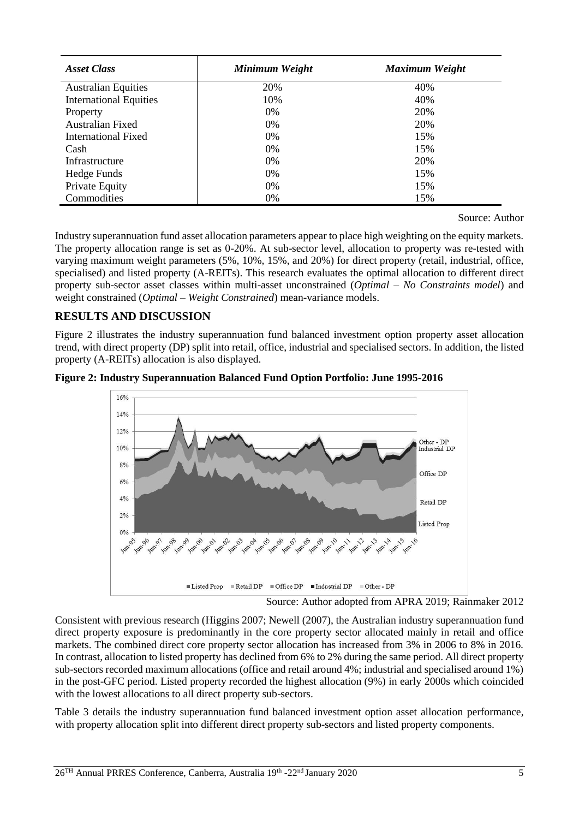| <b>Asset Class</b>            | Minimum Weight | Maximum Weight |
|-------------------------------|----------------|----------------|
| <b>Australian Equities</b>    | 20%            | 40%            |
| <b>International Equities</b> | 10%            | 40%            |
| Property                      | $0\%$          | 20%            |
| <b>Australian Fixed</b>       | 0%             | 20%            |
| International Fixed           | $0\%$          | 15%            |
| Cash                          | $0\%$          | 15%            |
| Infrastructure                | $0\%$          | 20%            |
| Hedge Funds                   | 0%             | 15%            |
| Private Equity                | 0%             | 15%            |
| Commodities                   | 0%             | 15%            |

Source: Author

Industry superannuation fund asset allocation parameters appear to place high weighting on the equity markets. The property allocation range is set as 0-20%. At sub-sector level, allocation to property was re-tested with varying maximum weight parameters (5%, 10%, 15%, and 20%) for direct property (retail, industrial, office, specialised) and listed property (A-REITs). This research evaluates the optimal allocation to different direct property sub-sector asset classes within multi-asset unconstrained (*Optimal – No Constraints model*) and weight constrained (*Optimal – Weight Constrained*) mean-variance models.

### **RESULTS AND DISCUSSION**

Figure 2 illustrates the industry superannuation fund balanced investment option property asset allocation trend, with direct property (DP) split into retail, office, industrial and specialised sectors. In addition, the listed property (A-REITs) allocation is also displayed.





Source: Author adopted from APRA 2019; Rainmaker 2012

Consistent with previous research (Higgins 2007; Newell (2007), the Australian industry superannuation fund direct property exposure is predominantly in the core property sector allocated mainly in retail and office markets. The combined direct core property sector allocation has increased from 3% in 2006 to 8% in 2016. In contrast, allocation to listed property has declined from 6% to 2% during the same period. All direct property sub-sectors recorded maximum allocations (office and retail around 4%; industrial and specialised around 1%) in the post-GFC period. Listed property recorded the highest allocation (9%) in early 2000s which coincided with the lowest allocations to all direct property sub-sectors.

Table 3 details the industry superannuation fund balanced investment option asset allocation performance, with property allocation split into different direct property sub-sectors and listed property components.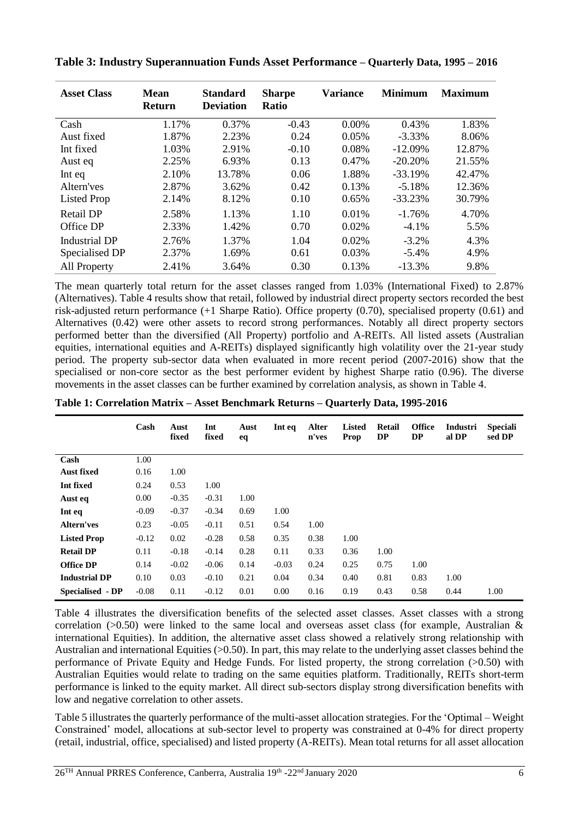| <b>Asset Class</b>   | <b>Mean</b><br><b>Return</b> | <b>Standard</b><br><b>Deviation</b> | <b>Sharpe</b><br><b>Ratio</b> | <b>Variance</b> | <b>Minimum</b> | <b>Maximum</b> |
|----------------------|------------------------------|-------------------------------------|-------------------------------|-----------------|----------------|----------------|
| Cash                 | 1.17%                        | 0.37%                               | $-0.43$                       | $0.00\%$        | 0.43%          | 1.83%          |
| Aust fixed           | 1.87%                        | 2.23%                               | 0.24                          | 0.05%           | $-3.33\%$      | 8.06%          |
| Int fixed            | 1.03%                        | 2.91%                               | $-0.10$                       | 0.08%           | $-12.09%$      | 12.87%         |
| Aust eq              | 2.25%                        | 6.93%                               | 0.13                          | 0.47%           | $-20.20\%$     | 21.55%         |
| Int eq               | 2.10%                        | 13.78%                              | 0.06                          | 1.88%           | $-33.19%$      | 42.47%         |
| Altern'ves           | 2.87%                        | 3.62%                               | 0.42                          | 0.13%           | $-5.18%$       | 12.36%         |
| <b>Listed Prop</b>   | 2.14%                        | 8.12%                               | 0.10                          | 0.65%           | $-33.23%$      | 30.79%         |
| Retail DP            | 2.58%                        | 1.13%                               | 1.10                          | 0.01%           | $-1.76%$       | 4.70%          |
| Office DP            | 2.33%                        | 1.42%                               | 0.70                          | 0.02%           | $-4.1%$        | 5.5%           |
| <b>Industrial DP</b> | 2.76%                        | 1.37%                               | 1.04                          | 0.02%           | $-3.2\%$       | 4.3%           |
| Specialised DP       | 2.37%                        | 1.69%                               | 0.61                          | 0.03%           | $-5.4\%$       | 4.9%           |
| <b>All Property</b>  | 2.41%                        | 3.64%                               | 0.30                          | 0.13%           | $-13.3%$       | 9.8%           |

**Table 3: Industry Superannuation Funds Asset Performance – Quarterly Data, 1995 – 2016**

The mean quarterly total return for the asset classes ranged from 1.03% (International Fixed) to 2.87% (Alternatives). Table 4 results show that retail, followed by industrial direct property sectors recorded the best risk-adjusted return performance (+1 Sharpe Ratio). Office property (0.70), specialised property (0.61) and Alternatives (0.42) were other assets to record strong performances. Notably all direct property sectors performed better than the diversified (All Property) portfolio and A-REITs. All listed assets (Australian equities, international equities and A-REITs) displayed significantly high volatility over the 21-year study period. The property sub-sector data when evaluated in more recent period (2007-2016) show that the specialised or non-core sector as the best performer evident by highest Sharpe ratio (0.96). The diverse movements in the asset classes can be further examined by correlation analysis, as shown in Table 4.

| Table 1: Correlation Matrix - Asset Benchmark Returns - Quarterly Data, 1995-2016 |  |  |
|-----------------------------------------------------------------------------------|--|--|
|-----------------------------------------------------------------------------------|--|--|

|                      | Cash    | Aust<br>fixed | Int<br>fixed | Aust<br>eq | Int eq  | Alter<br>n'ves | <b>Listed</b><br>Prop | Retail<br>DP | <b>Office</b><br>DP | Industri<br>al DP | <b>Speciali</b><br>sed DP |
|----------------------|---------|---------------|--------------|------------|---------|----------------|-----------------------|--------------|---------------------|-------------------|---------------------------|
| Cash                 | 1.00    |               |              |            |         |                |                       |              |                     |                   |                           |
| <b>Aust fixed</b>    | 0.16    | 1.00          |              |            |         |                |                       |              |                     |                   |                           |
| Int fixed            | 0.24    | 0.53          | 1.00         |            |         |                |                       |              |                     |                   |                           |
| Aust eq              | 0.00    | $-0.35$       | $-0.31$      | 1.00       |         |                |                       |              |                     |                   |                           |
| Int eq               | $-0.09$ | $-0.37$       | $-0.34$      | 0.69       | 1.00    |                |                       |              |                     |                   |                           |
| <b>Altern'ves</b>    | 0.23    | $-0.05$       | $-0.11$      | 0.51       | 0.54    | 1.00           |                       |              |                     |                   |                           |
| <b>Listed Prop</b>   | $-0.12$ | 0.02          | $-0.28$      | 0.58       | 0.35    | 0.38           | 1.00                  |              |                     |                   |                           |
| <b>Retail DP</b>     | 0.11    | $-0.18$       | $-0.14$      | 0.28       | 0.11    | 0.33           | 0.36                  | 1.00         |                     |                   |                           |
| <b>Office DP</b>     | 0.14    | $-0.02$       | $-0.06$      | 0.14       | $-0.03$ | 0.24           | 0.25                  | 0.75         | 1.00                |                   |                           |
| <b>Industrial DP</b> | 0.10    | 0.03          | $-0.10$      | 0.21       | 0.04    | 0.34           | 0.40                  | 0.81         | 0.83                | 1.00              |                           |
| Specialised - DP     | $-0.08$ | 0.11          | $-0.12$      | 0.01       | 0.00    | 0.16           | 0.19                  | 0.43         | 0.58                | 0.44              | 1.00                      |

Table 4 illustrates the diversification benefits of the selected asset classes. Asset classes with a strong correlation ( $>0.50$ ) were linked to the same local and overseas asset class (for example, Australian & international Equities). In addition, the alternative asset class showed a relatively strong relationship with Australian and international Equities (>0.50). In part, this may relate to the underlying asset classes behind the performance of Private Equity and Hedge Funds. For listed property, the strong correlation (>0.50) with Australian Equities would relate to trading on the same equities platform. Traditionally, REITs short-term performance is linked to the equity market. All direct sub-sectors display strong diversification benefits with low and negative correlation to other assets.

Table 5 illustrates the quarterly performance of the multi-asset allocation strategies. For the 'Optimal – Weight Constrained' model, allocations at sub-sector level to property was constrained at 0-4% for direct property (retail, industrial, office, specialised) and listed property (A-REITs). Mean total returns for all asset allocation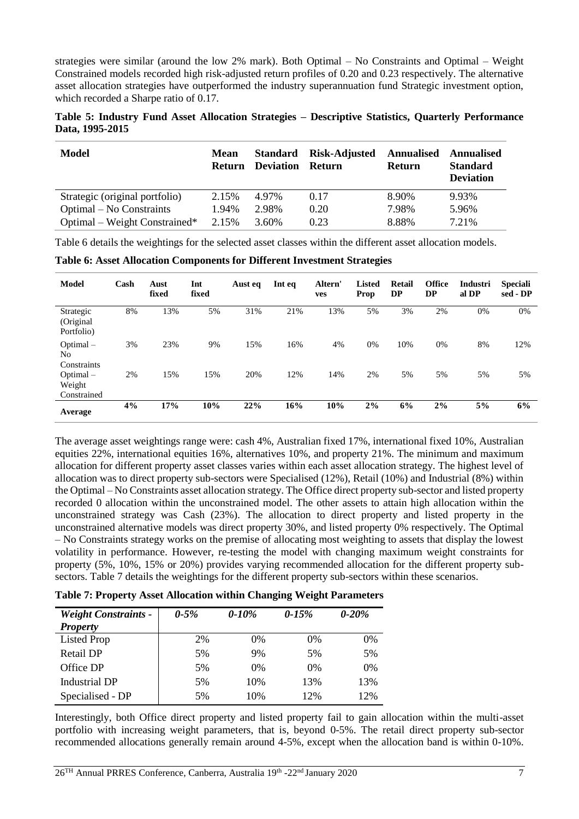strategies were similar (around the low 2% mark). Both Optimal – No Constraints and Optimal – Weight Constrained models recorded high risk-adjusted return profiles of 0.20 and 0.23 respectively. The alternative asset allocation strategies have outperformed the industry superannuation fund Strategic investment option, which recorded a Sharpe ratio of 0.17.

|                 |  |  | Table 5: Industry Fund Asset Allocation Strategies – Descriptive Statistics, Quarterly Performance |  |  |
|-----------------|--|--|----------------------------------------------------------------------------------------------------|--|--|
| Data, 1995-2015 |  |  |                                                                                                    |  |  |

| Model                          | <b>Mean</b> | <b>Return Deviation Return</b> | Standard Risk-Adjusted | <b>Annualised Annualised</b><br><b>Return</b> | <b>Standard</b><br><b>Deviation</b> |
|--------------------------------|-------------|--------------------------------|------------------------|-----------------------------------------------|-------------------------------------|
| Strategic (original portfolio) | 2.15%       | 4.97%                          | 0.17                   | 8.90%                                         | 9.93%                               |
| Optimal – No Constraints       | 1.94%       | 2.98%                          | 0.20                   | 7.98%                                         | 5.96%                               |
| Optimal – Weight Constrained*  | 2.15%       | 3.60%                          | 0.23                   | 8.88%                                         | 7.21%                               |

Table 6 details the weightings for the selected asset classes within the different asset allocation models.

**Table 6: Asset Allocation Components for Different Investment Strategies**

| <b>Model</b>                         | Cash | Aust<br>fixed | Int<br>fixed | Aust eq | Int eq | Altern'<br>ves | <b>Listed</b><br>Prop | <b>Retail</b><br><b>DP</b> | <b>Office</b><br><b>DP</b> | Industri<br>al DP | <b>Speciali</b><br>sed - DP |
|--------------------------------------|------|---------------|--------------|---------|--------|----------------|-----------------------|----------------------------|----------------------------|-------------------|-----------------------------|
| Strategic<br>(Original<br>Portfolio) | 8%   | 13%           | 5%           | 31%     | 21%    | 13%            | 5%                    | 3%                         | 2%                         | 0%                | 0%                          |
| Optimal-<br>No<br>Constraints        | 3%   | 23%           | 9%           | 15%     | 16%    | 4%             | 0%                    | 10%                        | 0%                         | 8%                | 12%                         |
| Optimal-<br>Weight<br>Constrained    | 2%   | 15%           | 15%          | 20%     | 12%    | 14%            | 2%                    | 5%                         | 5%                         | 5%                | 5%                          |
| Average                              | 4%   | 17%           | 10%          | 22%     | 16%    | 10%            | 2%                    | 6%                         | 2%                         | 5%                | 6%                          |

The average asset weightings range were: cash 4%, Australian fixed 17%, international fixed 10%, Australian equities 22%, international equities 16%, alternatives 10%, and property 21%. The minimum and maximum allocation for different property asset classes varies within each asset allocation strategy. The highest level of allocation was to direct property sub-sectors were Specialised (12%), Retail (10%) and Industrial (8%) within the Optimal – No Constraints asset allocation strategy. The Office direct property sub-sector and listed property recorded 0 allocation within the unconstrained model. The other assets to attain high allocation within the unconstrained strategy was Cash (23%). The allocation to direct property and listed property in the unconstrained alternative models was direct property 30%, and listed property 0% respectively. The Optimal – No Constraints strategy works on the premise of allocating most weighting to assets that display the lowest volatility in performance. However, re-testing the model with changing maximum weight constraints for property (5%, 10%, 15% or 20%) provides varying recommended allocation for the different property subsectors. Table 7 details the weightings for the different property sub-sectors within these scenarios.

| Table 7: Property Asset Allocation within Changing Weight Parameters |  |  |  |
|----------------------------------------------------------------------|--|--|--|
|----------------------------------------------------------------------|--|--|--|

| <b>Weight Constraints -</b><br><b>Property</b> | $0 - 5\%$ | $0 - 10\%$ | $0 - 15\%$ | $0 - 20%$ |
|------------------------------------------------|-----------|------------|------------|-----------|
| Listed Prop                                    | 2%        | $0\%$      | $0\%$      | $0\%$     |
| Retail DP                                      | 5%        | 9%         | 5%         | 5%        |
| Office DP                                      | 5%        | $0\%$      | $0\%$      | $0\%$     |
| Industrial DP                                  | 5%        | 10%        | 13%        | 13%       |
| Specialised - DP                               | 5%        | 10%        | 12%        | 12%       |

Interestingly, both Office direct property and listed property fail to gain allocation within the multi-asset portfolio with increasing weight parameters, that is, beyond 0-5%. The retail direct property sub-sector recommended allocations generally remain around 4-5%, except when the allocation band is within 0-10%.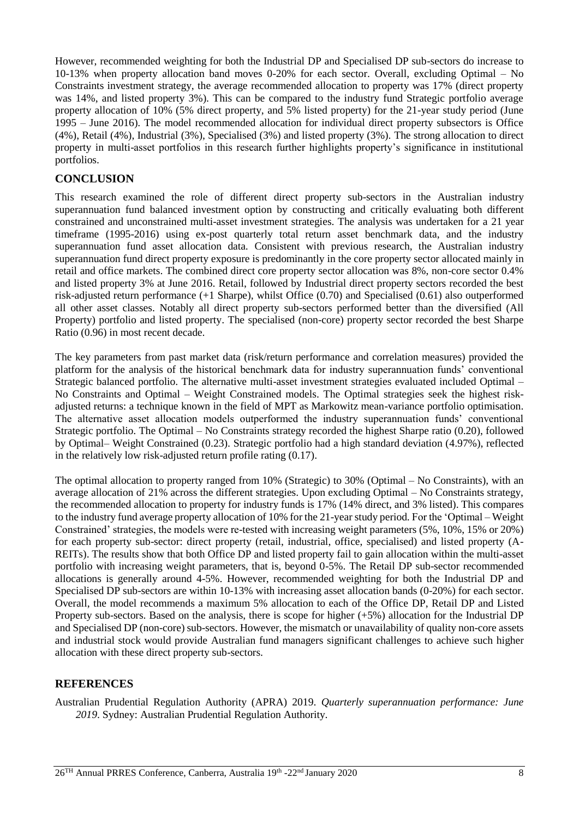However, recommended weighting for both the Industrial DP and Specialised DP sub-sectors do increase to 10-13% when property allocation band moves 0-20% for each sector. Overall, excluding Optimal – No Constraints investment strategy, the average recommended allocation to property was 17% (direct property was 14%, and listed property 3%). This can be compared to the industry fund Strategic portfolio average property allocation of 10% (5% direct property, and 5% listed property) for the 21-year study period (June 1995 – June 2016). The model recommended allocation for individual direct property subsectors is Office (4%), Retail (4%), Industrial (3%), Specialised (3%) and listed property (3%). The strong allocation to direct property in multi-asset portfolios in this research further highlights property's significance in institutional portfolios.

### **CONCLUSION**

This research examined the role of different direct property sub-sectors in the Australian industry superannuation fund balanced investment option by constructing and critically evaluating both different constrained and unconstrained multi-asset investment strategies. The analysis was undertaken for a 21 year timeframe (1995-2016) using ex-post quarterly total return asset benchmark data, and the industry superannuation fund asset allocation data. Consistent with previous research, the Australian industry superannuation fund direct property exposure is predominantly in the core property sector allocated mainly in retail and office markets. The combined direct core property sector allocation was 8%, non-core sector 0.4% and listed property 3% at June 2016. Retail, followed by Industrial direct property sectors recorded the best risk-adjusted return performance (+1 Sharpe), whilst Office (0.70) and Specialised (0.61) also outperformed all other asset classes. Notably all direct property sub-sectors performed better than the diversified (All Property) portfolio and listed property. The specialised (non-core) property sector recorded the best Sharpe Ratio (0.96) in most recent decade.

The key parameters from past market data (risk/return performance and correlation measures) provided the platform for the analysis of the historical benchmark data for industry superannuation funds' conventional Strategic balanced portfolio. The alternative multi-asset investment strategies evaluated included Optimal – No Constraints and Optimal – Weight Constrained models. The Optimal strategies seek the highest riskadjusted returns: a technique known in the field of MPT as Markowitz mean-variance portfolio optimisation. The alternative asset allocation models outperformed the industry superannuation funds' conventional Strategic portfolio. The Optimal – No Constraints strategy recorded the highest Sharpe ratio (0.20), followed by Optimal– Weight Constrained (0.23). Strategic portfolio had a high standard deviation (4.97%), reflected in the relatively low risk-adjusted return profile rating (0.17).

The optimal allocation to property ranged from 10% (Strategic) to 30% (Optimal – No Constraints), with an average allocation of 21% across the different strategies. Upon excluding Optimal – No Constraints strategy, the recommended allocation to property for industry funds is 17% (14% direct, and 3% listed). This compares to the industry fund average property allocation of 10% for the 21-year study period. For the 'Optimal – Weight Constrained' strategies, the models were re-tested with increasing weight parameters (5%, 10%, 15% or 20%) for each property sub-sector: direct property (retail, industrial, office, specialised) and listed property (A-REITs). The results show that both Office DP and listed property fail to gain allocation within the multi-asset portfolio with increasing weight parameters, that is, beyond 0-5%. The Retail DP sub-sector recommended allocations is generally around 4-5%. However, recommended weighting for both the Industrial DP and Specialised DP sub-sectors are within 10-13% with increasing asset allocation bands (0-20%) for each sector. Overall, the model recommends a maximum 5% allocation to each of the Office DP, Retail DP and Listed Property sub-sectors. Based on the analysis, there is scope for higher (+5%) allocation for the Industrial DP and Specialised DP (non-core) sub-sectors. However, the mismatch or unavailability of quality non-core assets and industrial stock would provide Australian fund managers significant challenges to achieve such higher allocation with these direct property sub-sectors.

### **REFERENCES**

Australian Prudential Regulation Authority (APRA) 2019. *Quarterly superannuation performance: June 2019*. Sydney: Australian Prudential Regulation Authority.